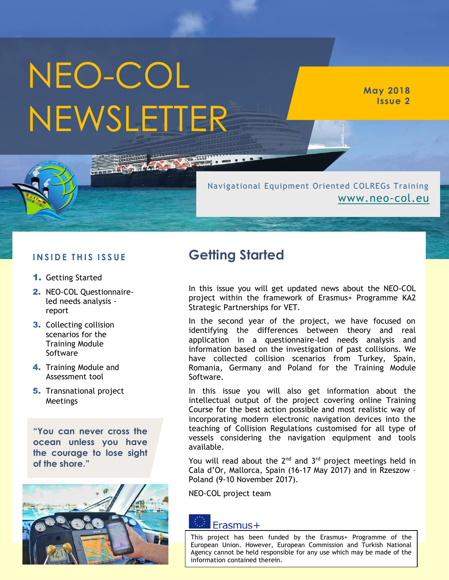# NEO-COL NEWSLETTER

**May 2018 Issue 2**

#### Navigational Equipment Oriented COLREGs Training [www.neo-col.eu](http://www.neo-col.eu/)

#### **I N S I D E T H I S I S S U E**

- 1. Getting Started
- 2. NEO-COL Questionnaireled needs analysis report
- **3.** Collecting collision scenarios for the Training Module Software
- 4. Training Module and Assessment tool
- **5.** Transnational project Meetings

**"You can never cross the ocean unless you have the courage to lose sight of the shore."**



### **Getting Started**

**NAME** 

In this issue you will get updated news about the NEO-COL project within the framework of Erasmus+ Programme KA2 Strategic Partnerships for VET.

In the second year of the project, we have focused on identifying the differences between theory and real application in a questionnaire-led needs analysis and information based on the investigation of past collisions. We have collected collision scenarios from Turkey, Spain, Romania, Germany and Poland for the Training Module Software.

In this issue you will also get information about the intellectual output of the project covering online Training Course for the best action possible and most realistic way of incorporating modern electronic navigation devices into the teaching of Collision Regulations customised for all type of vessels considering the navigation equipment and tools available.

You will read about the  $2^{nd}$  and  $3^{rd}$  project meetings held in Cala d'Or, Mallorca, Spain (16-17 May 2017) and in Rzeszow – Poland (9-10 November 2017).

NEO-COL project team

#### Erasmus+

This project has been funded by the Erasmus+ Programme of the European Union. However, European Commission and Turkish National Agency cannot be held responsible for any use which may be made of the information contained therein.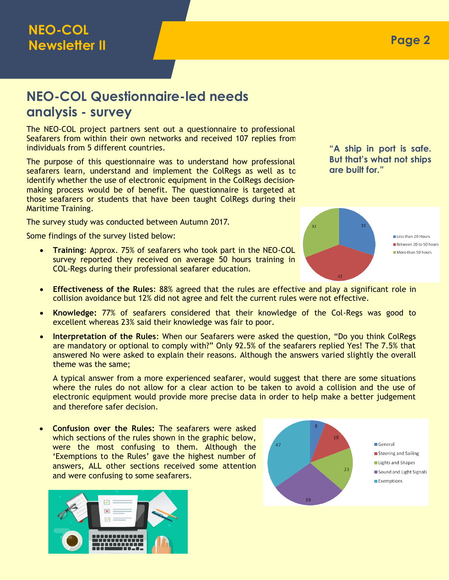# **NEO-COL Questionnaire-led needs analysis - survey**

The NEO-COL project partners sent out a questionnaire to professional Seafarers from within their own networks and received 107 replies from individuals from 5 different countries.

The purpose of this questionnaire was to understand how professional seafarers learn, understand and implement the ColRegs as well as to identify whether the use of electronic equipment in the ColRegs decisionmaking process would be of benefit. The questionnaire is targeted at those seafarers or students that have been taught ColRegs during their Maritime Training.

The survey study was conducted between Autumn 2017.

Some findings of the survey listed below:

 **Training**: Approx. 75% of seafarers who took part in the NEO-COL survey reported they received on average 50 hours training in COL-Regs during their professional seafarer education.

**"A ship in port is safe. But that's what not ships are built for."**



- **Effectiveness of the Rules**: 88% agreed that the rules are effective and play a significant role in collision avoidance but 12% did not agree and felt the current rules were not effective.
- **Knowledge:** 77% of seafarers considered that their knowledge of the Col-Regs was good to excellent whereas 23% said their knowledge was fair to poor.
- **Interpretation of the Rules**: When our Seafarers were asked the question, "Do you think ColRegs are mandatory or optional to comply with?" Only 92.5% of the seafarers replied Yes! The 7.5% that answered No were asked to explain their reasons. Although the answers varied slightly the overall theme was the same;

A typical answer from a more experienced seafarer, would suggest that there are some situations where the rules do not allow for a clear action to be taken to avoid a collision and the use of electronic equipment would provide more precise data in order to help make a better judgement and therefore safer decision.

 **Confusion over the Rules:** The seafarers were asked which sections of the rules shown in the graphic below, were the most confusing to them. Although the 'Exemptions to the Rules' gave the highest number of answers, ALL other sections received some attention and were confusing to some seafarers.



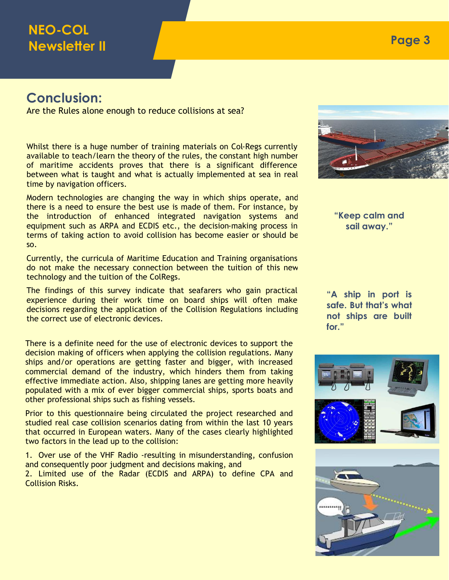# **NEO-COL Newsletter II**

#### **Conclusion:**

Are the Rules alone enough to reduce collisions at sea?

Whilst there is a huge number of training materials on Col-Regs currently available to teach/learn the theory of the rules, the constant high number of maritime accidents proves that there is a significant difference between what is taught and what is actually implemented at sea in real time by navigation officers.

Modern technologies are changing the way in which ships operate, and there is a need to ensure the best use is made of them. For instance, by the introduction of enhanced integrated navigation systems and equipment such as ARPA and ECDIS etc., the decision-making process in terms of taking action to avoid collision has become easier or should be so.

Currently, the curricula of Maritime Education and Training organisations do not make the necessary connection between the tuition of this new technology and the tuition of the ColRegs.

The findings of this survey indicate that seafarers who gain practical experience during their work time on board ships will often make decisions regarding the application of the Collision Regulations including the correct use of electronic devices.

There is a definite need for the use of electronic devices to support the decision making of officers when applying the collision regulations. Many ships and/or operations are getting faster and bigger, with increased commercial demand of the industry, which hinders them from taking effective immediate action. Also, shipping lanes are getting more heavily populated with a mix of ever bigger commercial ships, sports boats and other professional ships such as fishing vessels.

Prior to this questionnaire being circulated the project researched and studied real case collision scenarios dating from within the last 10 years that occurred in European waters. Many of the cases clearly highlighted two factors in the lead up to the collision:

1. Over use of the VHF Radio -resulting in misunderstanding, confusion and consequently poor judgment and decisions making, and

2. Limited use of the Radar (ECDIS and ARPA) to define CPA and Collision Risks.



**"A ship in port is safe. But that's what not ships are built for."**

**sail away."**